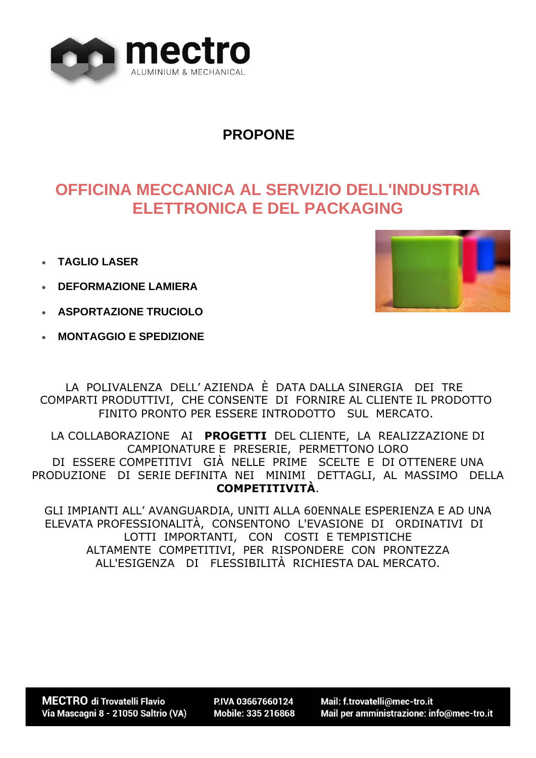

### **PROPONE**

# **OFFICINA MECCANICA AL SERVIZIO DELL'INDUSTRIA ELETTRONICA E DEL PACKAGING**

- **TAGLIO LASER**
- **DEFORMAZIONE LAMIERA**
- **ASPORTAZIONE TRUCIOLO**
- **MONTAGGIO E SPEDIZIONE**



LA POLIVALENZA DELL' AZIENDA È DATA DALLA SINERGIA DEI TRE COMPARTI PRODUTTIVI, CHE CONSENTE DI FORNIRE AL CLIENTE IL PRODOTTO FINITO PRONTO PER ESSERE INTRODOTTO SUL MERCATO.

LA COLLABORAZIONE AI **PROGETTI** DEL CLIENTE, LA REALIZZAZIONE DI CAMPIONATURE E PRESERIE, PERMETTONO LORO DI ESSERE COMPETITIVI GIÀ NELLE PRIME SCELTE E DI OTTENERE UNA PRODUZIONE DI SERIE DEFINITA NEI MINIMI DETTAGLI, AL MASSIMO DELLA **COMPETITIVITÀ**.

GLI IMPIANTI ALL' AVANGUARDIA, UNITI ALLA 60ENNALE ESPERIENZA E AD UNA ELEVATA PROFESSIONALITÀ, CONSENTONO L'EVASIONE DI ORDINATIVI DI LOTTI IMPORTANTI, CON COSTI E TEMPISTICHE ALTAMENTE COMPETITIVI, PER RISPONDERE CON PRONTEZZA ALL'ESIGENZA DI FLESSIBILITÀ RICHIESTA DAL MERCATO.

PIVA 03667660124 Mobile: 335 216868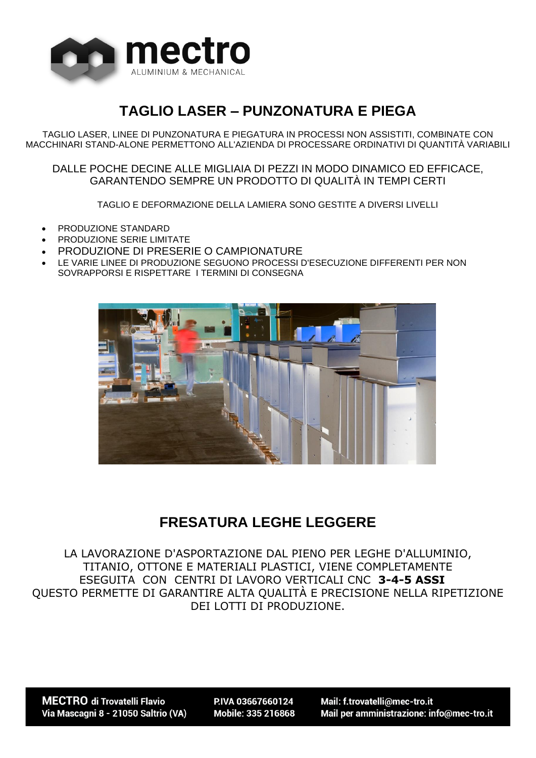

# **TAGLIO LASER – PUNZONATURA E PIEGA**

TAGLIO LASER, LINEE DI PUNZONATURA E PIEGATURA IN PROCESSI NON ASSISTITI, COMBINATE CON MACCHINARI STAND-ALONE PERMETTONO ALL'AZIENDA DI PROCESSARE ORDINATIVI DI QUANTITÀ VARIABILI

DALLE POCHE DECINE ALLE MIGLIAIA DI PEZZI IN MODO DINAMICO ED EFFICACE, GARANTENDO SEMPRE UN PRODOTTO DI QUALITÀ IN TEMPI CERTI

TAGLIO E DEFORMAZIONE DELLA LAMIERA SONO GESTITE A DIVERSI LIVELLI

- PRODUZIONE STANDARD
- PRODUZIONE SERIE LIMITATE
- PRODUZIONE DI PRESERIE O CAMPIONATURE
- LE VARIE LINEE DI PRODUZIONE SEGUONO PROCESSI D'ESECUZIONE DIFFERENTI PER NON SOVRAPPORSI E RISPETTARE I TERMINI DI CONSEGNA



#### **FRESATURA LEGHE LEGGERE**

LA LAVORAZIONE D'ASPORTAZIONE DAL PIENO PER LEGHE D'ALLUMINIO, TITANIO, OTTONE E MATERIALI PLASTICI, VIENE COMPLETAMENTE ESEGUITA CON CENTRI DI LAVORO VERTICALI CNC **3-4-5 ASSI** QUESTO PERMETTE DI GARANTIRE ALTA QUALITÀ E PRECISIONE NELLA RIPETIZIONE DEI LOTTI DI PRODUZIONE.

**MECTRO** di Trovatelli Flavio Via Mascagni 8 - 21050 Saltrio (VA)

PIVA 03667660124 Mobile: 335 216868